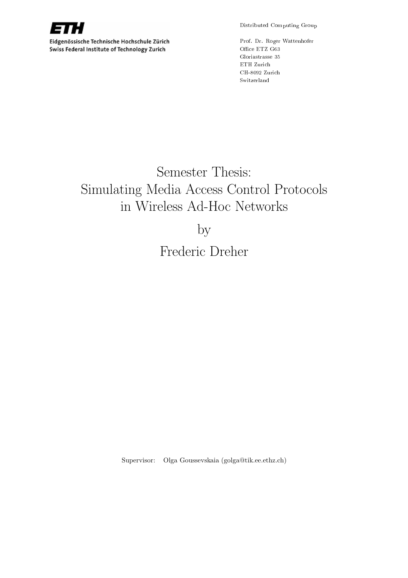

Eidgenössische Technische Hochschule Zürich Swiss Federal Institute of Technology Zurich

Distributed Computing Group

Prof. Dr. Roger Wattenhofer

# Semester Thesis: Simulating Media Access Control Protocols in Wireless Ad-Hoc Networks

by

Frederic Dreher

Supervisor: Olga Goussevskaia (golga@tik.ee.ethz.ch)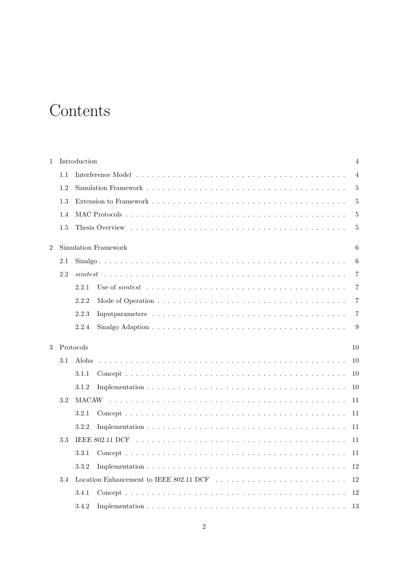# **Contents**

| $\mathbf{1}$   |           | Introduction<br>4    |                |  |  |  |
|----------------|-----------|----------------------|----------------|--|--|--|
|                | 1.1       |                      | $\overline{4}$ |  |  |  |
|                | 1.2       |                      | 5              |  |  |  |
|                | 1.3       |                      | 5              |  |  |  |
|                | 1.4       |                      | 5              |  |  |  |
|                | 1.5       |                      | 5              |  |  |  |
| $\overline{2}$ |           | Simulation Framework | 6              |  |  |  |
|                | 2.1       |                      | 6              |  |  |  |
|                | 2.2       |                      | 7              |  |  |  |
|                |           | 2.2.1                | 7              |  |  |  |
|                |           | 2.2.2                | 7              |  |  |  |
|                |           | 2.2.3                | $\overline{7}$ |  |  |  |
|                |           | 2.2.4                | 9              |  |  |  |
| 3              | Protocols | 10                   |                |  |  |  |
|                | 3.1       | 10<br>Aloha          |                |  |  |  |
|                |           | 10<br>3.1.1          |                |  |  |  |
|                |           | 3.1.2<br>10          |                |  |  |  |
|                | 3.2       | 11                   |                |  |  |  |
|                |           | 3.2.1<br>11          |                |  |  |  |
|                |           | 3.2.2<br>11          |                |  |  |  |
|                | 3.3       | 11                   |                |  |  |  |
|                |           | 3.3.1<br>11          |                |  |  |  |
|                |           | 3.3.2<br>12          |                |  |  |  |
|                | 3.4       | 12                   |                |  |  |  |
|                |           | 3.4.1<br>12          |                |  |  |  |
|                |           | 3.4.2<br>13          |                |  |  |  |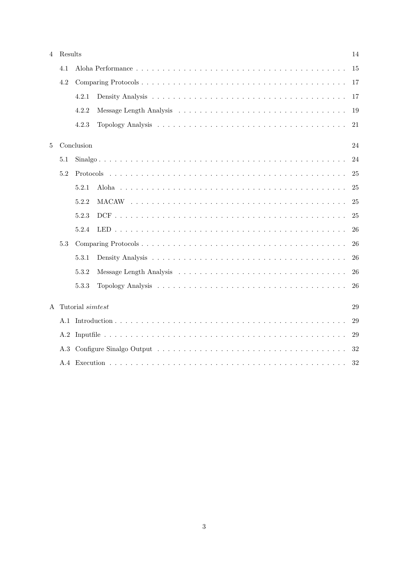| $\overline{4}$ | Results |                  |  |    |
|----------------|---------|------------------|--|----|
|                | 4.1     |                  |  | 15 |
| 4.2            |         |                  |  |    |
|                |         | 4.2.1            |  | 17 |
|                |         | 4.2.2            |  | 19 |
|                |         | 4.2.3            |  | 21 |
| $\overline{5}$ |         | Conclusion       |  | 24 |
|                | 5.1     |                  |  | 24 |
|                | 5.2     |                  |  | 25 |
|                |         | 5.2.1            |  | 25 |
|                |         | 5.2.2            |  | 25 |
|                |         | 5.2.3            |  | 25 |
|                |         | 5.2.4            |  | 26 |
|                | 5.3     |                  |  | 26 |
|                |         | 5.3.1            |  | 26 |
|                |         | 5.3.2            |  | 26 |
|                |         | 5.3.3            |  | 26 |
| $\mathsf{A}$   |         | Tutorial simtest |  | 29 |
|                |         |                  |  | 29 |
|                |         |                  |  | 29 |
|                |         |                  |  | 32 |
|                |         |                  |  | 32 |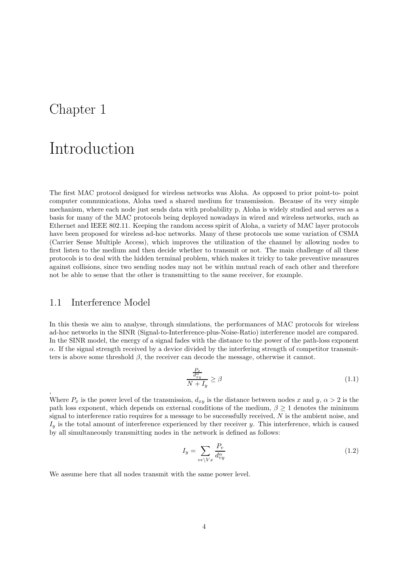## Chapter 1

# Introduction

The first MAC protocol designed for wireless networks was Aloha. As opposed to prior point-to- point computer communications, Aloha used a shared medium for transmission. Because of its very simple mechanism, where each node just sends data with probability p, Aloha is widely studied and serves as a basis for many of the MAC protocols being deployed nowadays in wired and wireless networks, such as Ethernet and IEEE 802.11. Keeping the random access spirit of Aloha, a variety of MAC layer protocols have been proposed for wireless ad-hoc networks. Many of these protocols use some variation of CSMA (Carrier Sense Multiple Access), which improves the utilization of the channel by allowing nodes to first listen to the medium and then decide whether to transmit or not. The main challenge of all these protocols is to deal with the hidden terminal problem, which makes it tricky to take preventive measures against collisions, since two sending nodes may not be within mutual reach of each other and therefore not be able to sense that the other is transmitting to the same receiver, for example.

### 1.1 Interference Model

,

In this thesis we aim to analyse, through simulations, the performances of MAC protocols for wireless ad-hoc networks in the SINR (Signal-to-Interference-plus-Noise-Ratio) interference model are compared. In the SINR model, the energy of a signal fades with the distance to the power of the path-loss exponent  $\alpha$ . If the signal strength received by a device divided by the interfering strength of competitor transmitters is above some threshold  $\beta$ , the receiver can decode the message, otherwise it cannot.

$$
\frac{\frac{P_x}{d_x^{\alpha}y}}{N+I_y} \ge \beta \tag{1.1}
$$

Where  $P_x$  is the power level of the transmission,  $d_{xy}$  is the distance between nodes x and y,  $\alpha > 2$  is the path loss exponent, which depends on external conditions of the medium,  $\beta \geq 1$  denotes the minimum signal to interference ratio requires for a message to be successfully received,  $N$  is the ambient noise, and  $I_y$  is the total amount of interference experienced by ther receiver y. This interference, which is caused by all simultaneously transmitting nodes in the network is defined as follows:

$$
I_y = \sum_{v \in \backslash Vx} \frac{P_v}{d_{vy}^{\alpha}} \tag{1.2}
$$

We assume here that all nodes transmit with the same power level.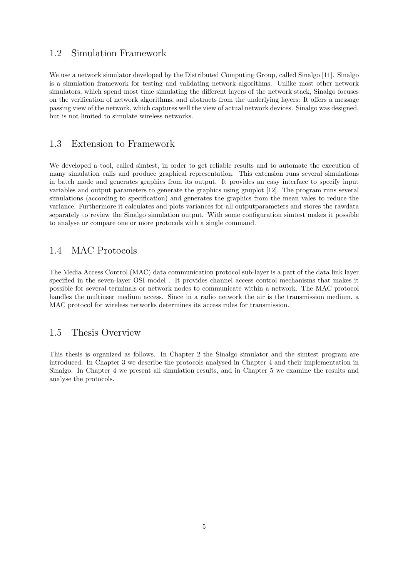## 1.2 Simulation Framework

We use a network simulator developed by the Distributed Computing Group, called Sinalgo [11]. Sinalgo is a simulation framework for testing and validating network algorithms. Unlike most other network simulators, which spend most time simulating the different layers of the network stack, Sinalgo focuses on the verification of network algorithms, and abstracts from the underlying layers: It offers a message passing view of the network, which captures well the view of actual network devices. Sinalgo was designed, but is not limited to simulate wireless networks.

## 1.3 Extension to Framework

We developed a tool, called simtest, in order to get reliable results and to automate the execution of many simulation calls and produce graphical representation. This extension runs several simulations in batch mode and generates graphics from its output. It provides an easy interface to specify input variables and output parameters to generate the graphics using gnuplot [12]. The program runs several simulations (according to specification) and generates the graphics from the mean vales to reduce the variance. Furthermore it calculates and plots variances for all outputparameters and stores the rawdata separately to review the Sinalgo simulation output. With some configuration simtest makes it possible to analyse or compare one or more protocols with a single command.

### 1.4 MAC Protocols

The Media Access Control (MAC) data communication protocol sub-layer is a part of the data link layer specified in the seven-layer OSI model . It provides channel access control mechanisms that makes it possible for several terminals or network nodes to communicate within a network. The MAC protocol handles the multiuser medium access. Since in a radio network the air is the transmission medium, a MAC protocol for wireless networks determines its access rules for transmission.

### 1.5 Thesis Overview

This thesis is organized as follows. In Chapter 2 the Sinalgo simulator and the simtest program are introduced. In Chapter 3 we describe the protocols analysed in Chapter 4 and their implementation in Sinalgo. In Chapter 4 we present all simulation results, and in Chapter 5 we examine the results and analyse the protocols.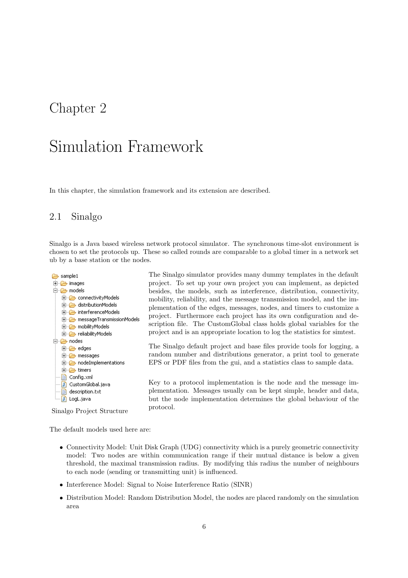## Chapter 2

# Simulation Framework

In this chapter, the simulation framework and its extension are described.

## 2.1 Sinalgo

Sinalgo is a Java based wireless network protocol simulator. The synchronous time-slot environment is chosen to set the protocols up. These so called rounds are comparable to a global timer in a network set ub by a base station or the nodes.



The Sinalgo simulator provides many dummy templates in the default project. To set up your own project you can implement, as depicted besides, the models, such as interference, distribution, connectivity, mobility, reliability, and the message transmission model, and the implementation of the edges, messages, nodes, and timers to customize a project. Furthermore each project has its own configuration and description file. The CustomGlobal class holds global variables for the project and is an appropriate location to log the statistics for simtest.

The Sinalgo default project and base files provide tools for logging, a random number and distributions generator, a print tool to generate EPS or PDF files from the gui, and a statistics class to sample data.

Key to a protocol implementation is the node and the message implementation. Messages usually can be kept simple, header and data, but the node implementation determines the global behaviour of the protocol.

Sinalgo Project Structure

The default models used here are:

- Connectivity Model: Unit Disk Graph (UDG) connectivity which is a purely geometric connectivity model: Two nodes are within communication range if their mutual distance is below a given threshold, the maximal transmission radius. By modifying this radius the number of neighbours to each node (sending or transmitting unit) is influenced.
- Interference Model: Signal to Noise Interference Ratio (SINR)
- Distribution Model: Random Distribution Model, the nodes are placed randomly on the simulation area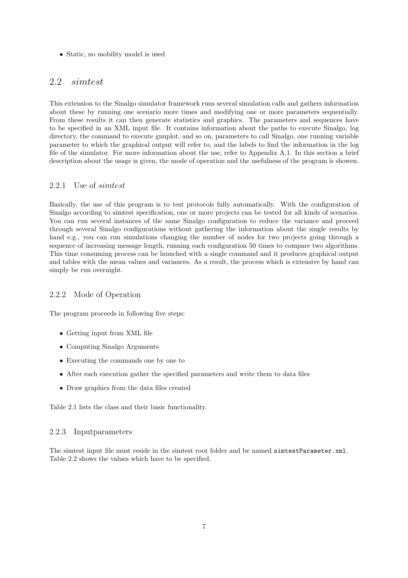• Static, no mobility model is used

## 2.2 simtest

This extension to the Sinalgo simulator framework runs several simulation calls and gathers information about these by running one scenario more times and modifying one or more parameters sequentially. From these results it can then generate statistics and graphics. The parameters and sequences have to be specified in an XML input file. It contains information about the paths to execute Sinalgo, log directory, the command to execute gnuplot, and so on, parameters to call Sinalgo, one running variable parameter to which the graphical output will refer to, and the labels to find the information in the log file of the simulator. For more information about the use, refer to Appendix A.1. In this section a brief description about the usage is given, the mode of operation and the usefulness of the program is showen.

### 2.2.1 Use of simtest

Basically, the use of this program is to test protocols fully automatically. With the configuration of Sinalgo according to simtest specification, one or more projects can be tested for all kinds of scenarios. You can run several instances of the same Sinalgo configuration to reduce the variance and proceed through several Sinalgo configurations without gathering the information about the single results by hand e.g., you can run simulations changing the number of nodes for two projects going through a sequence of increasing message length, running each configuration 50 times to compare two algorithms. This time consuming process can be launched with a single command and it produces graphical output and tables with the mean values and variances. As a result, the process which is extensive by hand can simply be run overnight.

### 2.2.2 Mode of Operation

The program proceeds in following five steps:

- Getting input from XML file
- Computing Sinalgo Arguments
- Executing the commands one by one to
- After each execution gather the specified parameters and write them to data files
- Draw graphics from the data files created

Table 2.1 lists the class and their basic functionality.

#### 2.2.3 Inputparameters

The simtest input file must reside in the simtest root folder and be named simtestParameter.xml. Table 2.2 shows the values which have to be specified.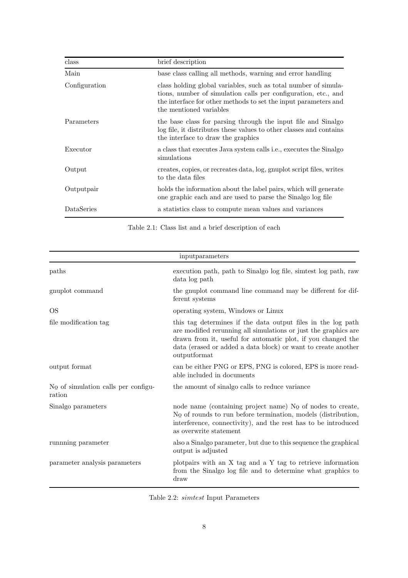| class         | brief description                                                                                                                                                                                                               |
|---------------|---------------------------------------------------------------------------------------------------------------------------------------------------------------------------------------------------------------------------------|
| Main          | base class calling all methods, warning and error handling                                                                                                                                                                      |
| Configuration | class holding global variables, such as total number of simula-<br>tions, number of simulation calls per configuration, etc., and<br>the interface for other methods to set the input parameters and<br>the mentioned variables |
| Parameters    | the base class for parsing through the input file and Sinalgo<br>log file, it distributes these values to other classes and contains<br>the interface to draw the graphics                                                      |
| Executor      | a class that executes Java system calls i.e., executes the Sinalgo<br>simulations                                                                                                                                               |
| Output        | creates, copies, or recreates data, log, gnuplot script files, writes<br>to the data files                                                                                                                                      |
| Outputpair    | holds the information about the label pairs, which will generate<br>one graphic each and are used to parse the Sinalgo log file                                                                                                 |
| DataSeries    | a statistics class to compute mean values and variances                                                                                                                                                                         |

Table 2.1: Class list and a brief description of each

|                                                  | input parameters                                                                                                                                                                                                                                                                 |  |  |
|--------------------------------------------------|----------------------------------------------------------------------------------------------------------------------------------------------------------------------------------------------------------------------------------------------------------------------------------|--|--|
| paths                                            | execution path, path to Sinalgo log file, similest log path, raw<br>data log path                                                                                                                                                                                                |  |  |
| gnuplot command                                  | the gnuplot command line command may be different for dif-<br>ferent systems                                                                                                                                                                                                     |  |  |
| <b>OS</b>                                        | operating system, Windows or Linux                                                                                                                                                                                                                                               |  |  |
| file modification tag                            | this tag determines if the data output files in the log path<br>are modified rerunning all simulations or just the graphics are<br>drawn from it, useful for automatic plot, if you changed the<br>data (erased or added a data block) or want to create another<br>outputformat |  |  |
| output format                                    | can be either PNG or EPS, PNG is colored, EPS is more read-<br>able included in documents                                                                                                                                                                                        |  |  |
| $N_Q$ of simulation calls per configu-<br>ration | the amount of sinalgo calls to reduce variance                                                                                                                                                                                                                                   |  |  |
| Sinalgo parameters                               | node name (containing project name) $N_Q$ of nodes to create,<br>$N_{\mathcal{Q}}$ of rounds to run before termination, models (distribution,<br>interference, connectivity), and the rest has to be introduced<br>as overwrite statement                                        |  |  |
| running parameter                                | also a Sinalgo parameter, but due to this sequence the graphical<br>output is adjusted                                                                                                                                                                                           |  |  |
| parameter analysis parameters                    | plotpairs with an X tag and a Y tag to retrieve information<br>from the Sinalgo log file and to determine what graphics to<br>draw                                                                                                                                               |  |  |

Table 2.2: simtest Input Parameters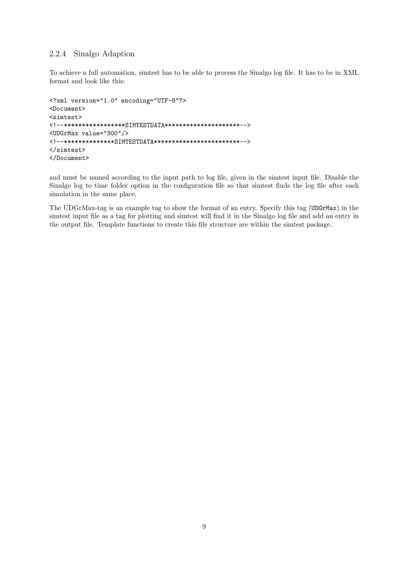### 2.2.4 Sinalgo Adaption

To achieve a full automation, simtest has to be able to process the Sinalgo log file. It has to be in XML format and look like this:

```
<?xml version="1.0" encoding="UTF-8"?>
<Document>
<simtest>
<!--*****************SIMTESTDATA*********************-->
<UDGrMax value="300"/>
<!--**************SIMTESTDATA************************-->
</simtest>
</Document>
```
and must be named according to the input path to log file, given in the simtest input file. Disable the Sinalgo log to time folder option in the configuration file so that simtest finds the log file after each simulation in the same place.

The UDGrMax-tag is an example tag to show the format of an entry. Specify this tag (UDGrMax) in the simtest input file as a tag for plotting and simtest will find it in the Sinalgo log file and add an entry in the output file. Template functions to create this file structure are within the simtest package.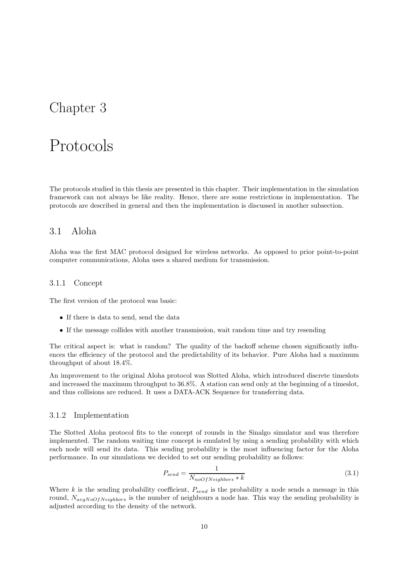## Chapter 3

## Protocols

The protocols studied in this thesis are presented in this chapter. Their implementation in the simulation framework can not always be like reality. Hence, there are some restrictions in implementation. The protocols are described in general and then the implementation is discussed in another subsection.

## 3.1 Aloha

Aloha was the first MAC protocol designed for wireless networks. As opposed to prior point-to-point computer communications, Aloha uses a shared medium for transmission.

### 3.1.1 Concept

The first version of the protocol was basic:

- If there is data to send, send the data
- If the message collides with another transmission, wait random time and try resending

The critical aspect is: what is random? The quality of the backoff scheme chosen significantly influences the efficiency of the protocol and the predictability of its behavior. Pure Aloha had a maximum throughput of about 18.4%.

An improvement to the original Aloha protocol was Slotted Aloha, which introduced discrete timeslots and increased the maximum throughput to 36.8%. A station can send only at the beginning of a timeslot, and thus collisions are reduced. It uses a DATA-ACK Sequence for transferring data.

#### 3.1.2 Implementation

The Slotted Aloha protocol fits to the concept of rounds in the Sinalgo simulator and was therefore implemented. The random waiting time concept is emulated by using a sending probability with which each node will send its data. This sending probability is the most influencing factor for the Aloha performance. In our simulations we decided to set our sending probability as follows:

$$
P_{send} = \frac{1}{N_{noOfNeighbors} * k}
$$
\n(3.1)

Where k is the sending probability coefficient,  $P_{send}$  is the probability a node sends a message in this round,  $N_{avgNoOFNeighbors}$  is the number of neighbours a node has. This way the sending probability is adjusted according to the density of the network.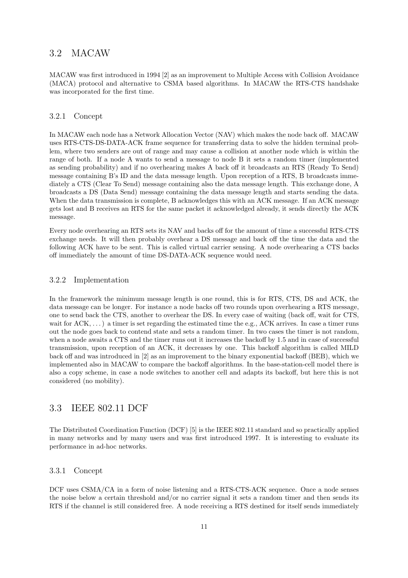## 3.2 MACAW

MACAW was first introduced in 1994 [2] as an improvement to Multiple Access with Collision Avoidance (MACA) protocol and alternative to CSMA based algorithms. In MACAW the RTS-CTS handshake was incorporated for the first time.

### 3.2.1 Concept

In MACAW each node has a Network Allocation Vector (NAV) which makes the node back off. MACAW uses RTS-CTS-DS-DATA-ACK frame sequence for transferring data to solve the hidden terminal problem, where two senders are out of range and may cause a collision at another node which is within the range of both. If a node A wants to send a message to node B it sets a random timer (implemented as sending probability) and if no overhearing makes A back off it broadcasts an RTS (Ready To Send) message containing B's ID and the data message length. Upon reception of a RTS, B broadcasts immediately a CTS (Clear To Send) message containing also the data message length. This exchange done, A broadcasts a DS (Data Send) message containing the data message length and starts sending the data. When the data transmission is complete, B acknowledges this with an ACK message. If an ACK message gets lost and B receives an RTS for the same packet it acknowledged already, it sends directly the ACK message.

Every node overhearing an RTS sets its NAV and backs off for the amount of time a successful RTS-CTS exchange needs. It will then probably overhear a DS message and back off the time the data and the following ACK have to be sent. This is called virtual carrier sensing. A node overhearing a CTS backs off immediately the amount of time DS-DATA-ACK sequence would need.

#### 3.2.2 Implementation

In the framework the minimum message length is one round, this is for RTS, CTS, DS and ACK, the data message can be longer. For instance a node backs off two rounds upon overhearing a RTS message, one to send back the CTS, another to overhear the DS. In every case of waiting (back off, wait for CTS, wait for  $ACK$ , ...) a timer is set regarding the estimated time the e.g.,  $ACK$  arrives. In case a timer runs out the node goes back to contend state and sets a random timer. In two cases the timer is not random, when a node awaits a CTS and the timer runs out it increases the backoff by 1.5 and in case of successful transmission, upon reception of an ACK, it decreases by one. This backoff algorithm is called MILD back off and was introduced in [2] as an improvement to the binary exponential backoff (BEB), which we implemented also in MACAW to compare the backoff algorithms. In the base-station-cell model there is also a copy scheme, in case a node switches to another cell and adapts its backoff, but here this is not considered (no mobility).

## 3.3 IEEE 802.11 DCF

The Distributed Coordination Function (DCF) [5] is the IEEE 802.11 standard and so practically applied in many networks and by many users and was first introduced 1997. It is interesting to evaluate its performance in ad-hoc networks.

### 3.3.1 Concept

DCF uses CSMA/CA in a form of noise listening and a RTS-CTS-ACK sequence. Once a node senses the noise below a certain threshold and/or no carrier signal it sets a random timer and then sends its RTS if the channel is still considered free. A node receiving a RTS destined for itself sends immediately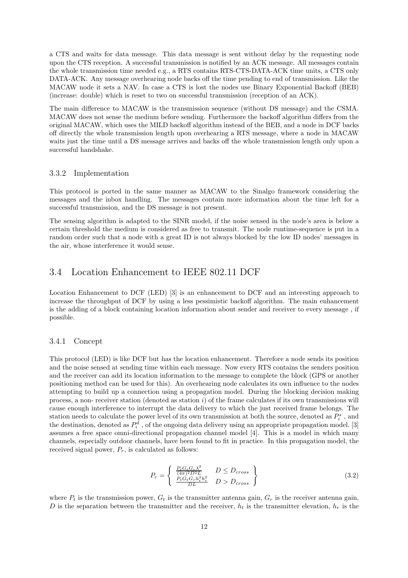a CTS and waits for data message. This data message is sent without delay by the requesting node upon the CTS reception. A successful transmission is notified by an ACK message. All messages contain the whole transmission time needed e.g., a RTS contains RTS-CTS-DATA-ACK time units, a CTS only DATA-ACK. Any message overhearing node backs off the time pending to end of transmission. Like the MACAW node it sets a NAV. In case a CTS is lost the nodes use Binary Exponential Backoff (BEB) (increase: double) which is reset to two on successful transmission (reception of an ACK).

The main difference to MACAW is the transmission sequence (without DS message) and the CSMA. MACAW does not sense the medium before sending. Furthermore the backoff algorithm differs from the original MACAW, which uses the MILD backoff algorithm instead of the BEB, and a node in DCF backs off directly the whole transmission length upon overhearing a RTS message, where a node in MACAW waits just the time until a DS message arrives and backs off the whole transmission length only upon a successful handshake.

#### 3.3.2 Implementation

This protocol is ported in the same manner as MACAW to the Sinalgo framework considering the messages and the inbox handling. The messages contain more information about the time left for a successful transmission, and the DS message is not present.

The sensing algorithm is adapted to the SINR model, if the noise sensed in the node's area is below a certain threshold the medium is considered as free to transmit. The node runtime-sequence is put in a random order such that a node with a great ID is not always blocked by the low ID nodes' messages in the air, whose interference it would sense.

### 3.4 Location Enhancement to IEEE 802.11 DCF

Location Enhancement to DCF (LED) [3] is an enhancement to DCF and an interesting approach to increase the throughput of DCF by using a less pessimistic backoff algorithm. The main enhancement is the adding of a block containing location information about sender and receiver to every message , if possible.

#### 3.4.1 Concept

This protocol (LED) is like DCF but has the location enhancement. Therefore a node sends its position and the noise sensed at sending time within each message. Now every RTS contains the senders position and the receiver can add its location information to the message to complete the block (GPS or another positioning method can be used for this). An overhearing node calculates its own influence to the nodes attempting to build up a connection using a propagation model. During the blocking decision making process, a non- receiver station (denoted as station i) of the frame calculates if its own transmissions will cause enough interference to interrupt the data delivery to which the just received frame belongs. The station needs to calculate the power level of its own transmission at both the source, denoted as  $P_i^s$ , and the destination, denoted as  $P_i^d$ , of the ongoing data delivery using an appropriate propagation model. [3] assumes a free space omni-directional propagation channel model [4]. This is a model in which many channels, especially outdoor channels, have been found to fit in practice. In this propagation model, the received signal power,  $P_r$ , is calculated as follows:

$$
P_r = \begin{cases} \frac{P_t G_t G_r \lambda^2}{(4\pi)^2 D^2 L} & D \le D_{cross} \\ \frac{P_t G_t G_r h_t^2 h_r^2}{D L} & D > D_{cross} \end{cases}
$$
\n(3.2)

where  $P_t$  is the transmission power,  $G_t$  is the transmitter antenna gain,  $G_r$  is the receiver antenna gain, D is the separation between the transmitter and the receiver,  $h_t$  is the transmitter elevation,  $h_r$  is the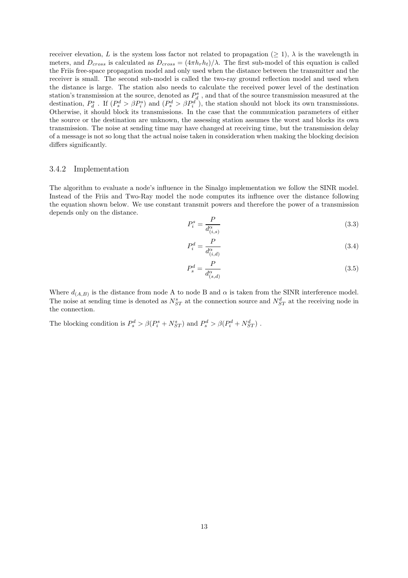receiver elevation, L is the system loss factor not related to propagation ( $\geq$  1),  $\lambda$  is the wavelength in meters, and  $D_{cross}$  is calculated as  $D_{cross} = (4\pi h_r h_t)/\lambda$ . The first sub-model of this equation is called the Friis free-space propagation model and only used when the distance between the transmitter and the receiver is small. The second sub-model is called the two-ray ground reflection model and used when the distance is large. The station also needs to calculate the received power level of the destination station's transmission at the source, denoted as  $P_d^s$ , and that of the source transmission measured at the destination,  $P_d^s$ . If  $(P_s^d > \beta P_i^s)$  and  $(P_s^d > \beta P_i^d)$ , the station should not block its own transmissions. Otherwise, it should block its transmissions. In the case that the communication parameters of either the source or the destination are unknown, the assessing station assumes the worst and blocks its own transmission. The noise at sending time may have changed at receiving time, but the transmission delay of a message is not so long that the actual noise taken in consideration when making the blocking decision differs significantly.

#### 3.4.2 Implementation

The algorithm to evaluate a node's influence in the Sinalgo implementation we follow the SINR model. Instead of the Friis and Two-Ray model the node computes its influence over the distance following the equation shown below. We use constant transmit powers and therefore the power of a transmission depends only on the distance.

$$
P_i^s = \frac{P}{d_{(i,s)}^\alpha} \tag{3.3}
$$

$$
P_i^d = \frac{P}{d_{(i,d)}^{\alpha}}\tag{3.4}
$$

$$
P_s^d = \frac{P}{d_{(s,d)}^{\alpha}}\tag{3.5}
$$

Where  $d_{(A,B)}$  is the distance from node A to node B and  $\alpha$  is taken from the SINR interference model. The noise at sending time is denoted as  $N_{ST}^s$  at the connection source and  $N_{ST}^d$  at the receiving node in the connection.

The blocking condition is  $P_s^d > \beta(P_i^s + N_{ST}^s)$  and  $P_s^d > \beta(P_i^d + N_{ST}^d)$ .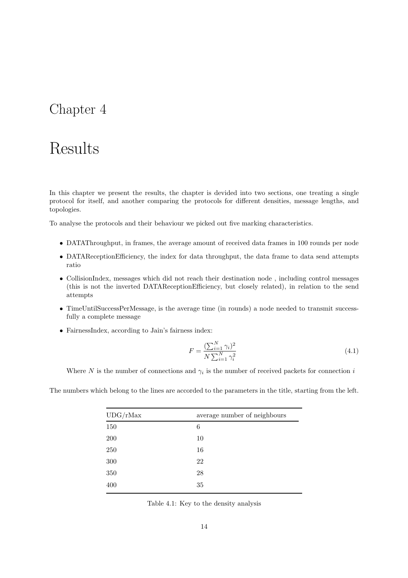## Chapter 4

# Results

In this chapter we present the results, the chapter is devided into two sections, one treating a single protocol for itself, and another comparing the protocols for different densities, message lengths, and topologies.

To analyse the protocols and their behaviour we picked out five marking characteristics.

- DATAThroughput, in frames, the average amount of received data frames in 100 rounds per node
- DATAReceptionEfficiency, the index for data throughput, the data frame to data send attempts ratio
- CollisionIndex, messages which did not reach their destination node , including control messages (this is not the inverted DATAReceptionEfficiency, but closely related), in relation to the send attempts
- TimeUntilSuccessPerMessage, is the average time (in rounds) a node needed to transmit successfully a complete message
- FairnessIndex, according to Jain's fairness index:

$$
F = \frac{\left(\sum_{i=1}^{N} \gamma_i\right)^2}{N \sum_{i=1}^{N} \gamma_i^2}
$$
\n
$$
(4.1)
$$

Where N is the number of connections and  $\gamma_i$  is the number of received packets for connection i

The numbers which belong to the lines are accorded to the parameters in the title, starting from the left.

| UDG/rMax | average number of neighbours |
|----------|------------------------------|
| 150      | 6                            |
| 200      | 10                           |
| 250      | 16                           |
| $300\,$  | 22                           |
| 350      | 28                           |
| 400      | 35                           |
|          |                              |

Table 4.1: Key to the density analysis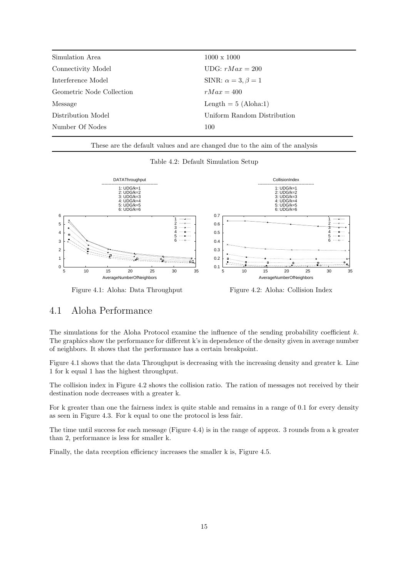| $1000 \times 1000$            |
|-------------------------------|
| UDG: $rMax = 200$             |
| SINR: $\alpha = 3, \beta = 1$ |
| $rMax = 400$                  |
| Length $= 5$ (Aloha:1)        |
| Uniform Random Distribution   |
| 100                           |
|                               |

These are the default values and are changed due to the aim of the analysis

Table 4.2: Default Simulation Setup



Figure 4.1: Aloha: Data Throughput

Figure 4.2: Aloha: Collision Index

### 4.1 Aloha Performance

The simulations for the Aloha Protocol examine the influence of the sending probability coefficient  $k$ . The graphics show the performance for different k's in dependence of the density given in average number of neighbors. It shows that the performance has a certain breakpoint.

Figure 4.1 shows that the data Throughput is decreasing with the increasing density and greater k. Line 1 for k equal 1 has the highest throughput.

The collision index in Figure 4.2 shows the collision ratio. The ration of messages not received by their destination node decreases with a greater k.

For k greater than one the fairness index is quite stable and remains in a range of 0.1 for every density as seen in Figure 4.3. For k equal to one the protocol is less fair.

The time until success for each message (Figure 4.4) is in the range of approx. 3 rounds from a k greater than 2, performance is less for smaller k.

Finally, the data reception efficiency increases the smaller k is, Figure 4.5.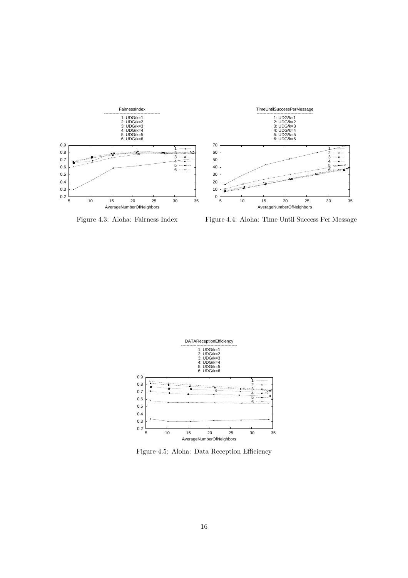

Figure 4.3: Aloha: Fairness Index

Figure 4.4: Aloha: Time Until Success Per Message



Figure 4.5: Aloha: Data Reception Efficiency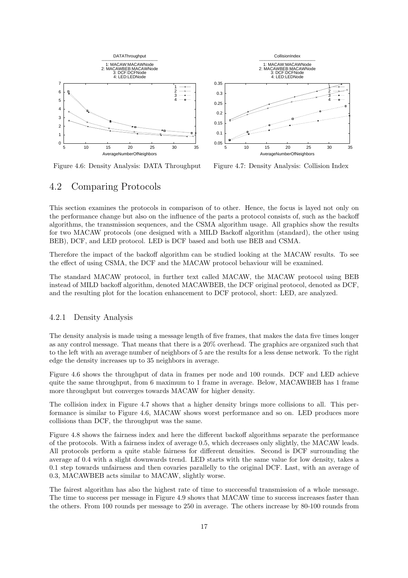

Figure 4.6: Density Analysis: DATA Throughput

Figure 4.7: Density Analysis: Collision Index

### 4.2 Comparing Protocols

This section examines the protocols in comparison of to other. Hence, the focus is layed not only on the performance change but also on the influence of the parts a protocol consists of, such as the backoff algorithms, the transmission sequences, and the CSMA algorithm usage. All graphics show the results for two MACAW protocols (one designed with a MILD Backoff algorithm (standard), the other using BEB), DCF, and LED protocol. LED is DCF based and both use BEB and CSMA.

Therefore the impact of the backoff algorithm can be studied looking at the MACAW results. To see the effect of using CSMA, the DCF and the MACAW protocol behaviour will be examined.

The standard MACAW protocol, in further text called MACAW, the MACAW protocol using BEB instead of MILD backoff algorithm, denoted MACAWBEB, the DCF original protocol, denoted as DCF, and the resulting plot for the location enhancement to DCF protocol, short: LED, are analyzed.

#### 4.2.1 Density Analysis

The density analysis is made using a message length of five frames, that makes the data five times longer as any control message. That means that there is a 20% overhead. The graphics are organized such that to the left with an average number of neighbors of 5 are the results for a less dense network. To the right edge the density increases up to 35 neighbors in average.

Figure 4.6 shows the throughput of data in frames per node and 100 rounds. DCF and LED achieve quite the same throughput, from 6 maximum to 1 frame in average. Below, MACAWBEB has 1 frame more throughput but converges towards MACAW for higher density.

The collision index in Figure 4.7 shows that a higher density brings more collisions to all. This performance is similar to Figure 4.6, MACAW shows worst performance and so on. LED produces more collisions than DCF, the throughput was the same.

Figure 4.8 shows the fairness index and here the different backoff algorithms separate the performance of the protocols. With a fairness index of average 0.5, which decreases only slightly, the MACAW leads. All protocols perform a quite stable fairness for different densities. Second is DCF surrounding the average af 0.4 with a slight downwards trend. LED starts with the same value for low density, takes a 0.1 step towards unfairness and then covaries parallelly to the original DCF. Last, with an average of 0.3, MACAWBEB acts similar to MACAW, slightly worse.

The fairest algorithm has also the highest rate of time to succcessful transmission of a whole message. The time to success per message in Figure 4.9 shows that MACAW time to success increases faster than the others. From 100 rounds per message to 250 in average. The others increase by 80-100 rounds from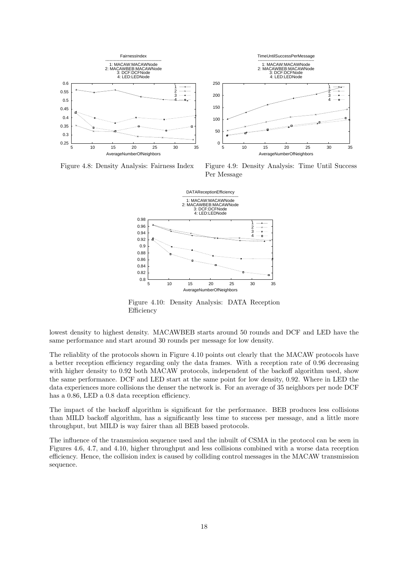

Figure 4.8: Density Analysis: Fairness Index

Figure 4.9: Density Analysis: Time Until Success Per Message



Figure 4.10: Density Analysis: DATA Reception Efficiency

lowest density to highest density. MACAWBEB starts around 50 rounds and DCF and LED have the same performance and start around 30 rounds per message for low density.

The reliablity of the protocols shown in Figure 4.10 points out clearly that the MACAW protocols have a better reception efficiency regarding only the data frames. With a reception rate of 0.96 decreasing with higher density to 0.92 both MACAW protocols, independent of the backoff algorithm used, show the same performance. DCF and LED start at the same point for low density, 0.92. Where in LED the data experiences more collisions the denser the network is. For an average of 35 neighbors per node DCF has a 0.86, LED a 0.8 data reception efficiency.

The impact of the backoff algorithm is significant for the performance. BEB produces less collisions than MILD backoff algorithm, has a significantly less time to success per message, and a little more throughput, but MILD is way fairer than all BEB based protocols.

The influence of the transmission sequence used and the inbuilt of CSMA in the protocol can be seen in Figures 4.6, 4.7, and 4.10, higher throughput and less collisions combined with a worse data reception efficiency. Hence, the collision index is caused by colliding control messages in the MACAW transmission sequence.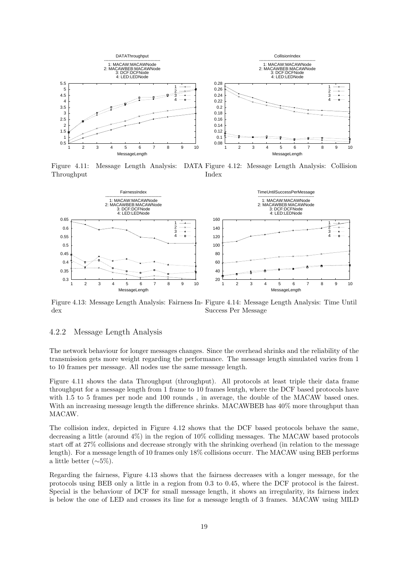

Figure 4.11: Message Length Analysis: DATA Figure 4.12: Message Length Analysis: Collision Throughput Index



Figure 4.13: Message Length Analysis: Fairness In-Figure 4.14: Message Length Analysis: Time Until dex Success Per Message

#### 4.2.2 Message Length Analysis

The network behaviour for longer messages changes. Since the overhead shrinks and the reliability of the transmission gets more weight regarding the performance. The message length simulated varies from 1 to 10 frames per message. All nodes use the same message length.

Figure 4.11 shows the data Throughput (throughput). All protocols at least triple their data frame throughput for a message length from 1 frame to 10 frames lentgh, where the DCF based protocols have with 1.5 to 5 frames per node and 100 rounds , in average, the double of the MACAW based ones. With an increasing message length the difference shrinks. MACAWBEB has  $40\%$  more throughput than MACAW.

The collision index, depicted in Figure 4.12 shows that the DCF based protocols behave the same, decreasing a little (around 4%) in the region of 10% colliding messages. The MACAW based protocols start off at 27% collisions and decrease strongly with the shrinking overhead (in relation to the message length). For a message length of 10 frames only 18% collisions occurr. The MACAW using BEB performs a little better (∼5%).

Regarding the fairness, Figure 4.13 shows that the fairness decreases with a longer message, for the protocols using BEB only a little in a region from 0.3 to 0.45, where the DCF protocol is the fairest. Special is the behaviour of DCF for small message length, it shows an irregularity, its fairness index is below the one of LED and crosses its line for a message length of 3 frames. MACAW using MILD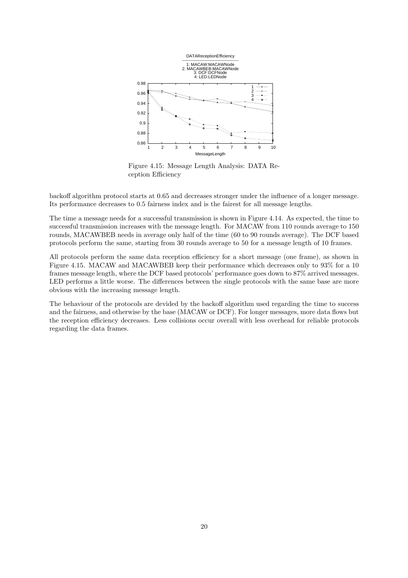

Figure 4.15: Message Length Analysis: DATA Reception Efficiency

backoff algorithm protocol starts at 0.65 and decreases stronger under the influence of a longer message. Its performance decreases to 0.5 fairness index and is the fairest for all message lengths.

The time a message needs for a successful transmission is shown in Figure 4.14. As expected, the time to successful transmission increases with the message length. For MACAW from 110 rounds average to 150 rounds, MACAWBEB needs in average only half of the time (60 to 90 rounds average). The DCF based protocols perform the same, starting from 30 rounds average to 50 for a message length of 10 frames.

All protocols perform the same data reception efficiency for a short message (one frame), as shown in Figure 4.15. MACAW and MACAWBEB keep their performance which decreases only to 93% for a 10 frames message length, where the DCF based protocols' performance goes down to 87% arrived messages. LED performs a little worse. The differences between the single protocols with the same base are more obvious with the increasing message length.

The behaviour of the protocols are devided by the backoff algorithm used regarding the time to success and the fairness, and otherwise by the base (MACAW or DCF). For longer messages, more data flows but the reception efficiency decreases. Less collisions occur overall with less overhead for reliable protocols regarding the data frames.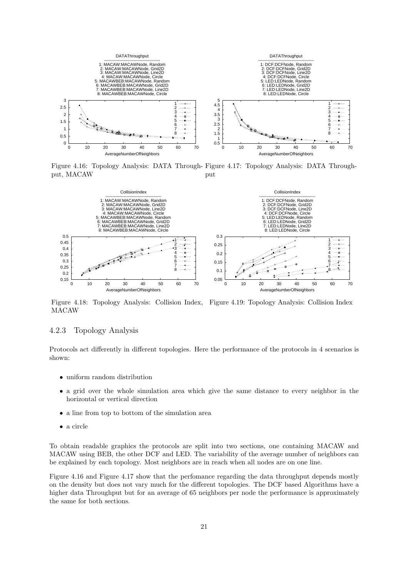

Figure 4.16: Topology Analysis: DATA Through-Figure 4.17: Topology Analysis: DATA Throughput, MACAW put



Figure 4.18: Topology Analysis: Collision Index, Figure 4.19: Topology Analysis: Collision Index MACAW

#### 4.2.3 Topology Analysis

Protocols act differently in different topologies. Here the performance of the protocols in 4 scenarios is shown:

- uniform random distribution
- a grid over the whole simulation area which give the same distance to every neighbor in the horizontal or vertical direction
- a line from top to bottom of the simulation area
- a circle

To obtain readable graphics the protocols are split into two sections, one containing MACAW and MACAW using BEB, the other DCF and LED. The variability of the average number of neighbors can be explained by each topology. Most neighbors are in reach when all nodes are on one line.

Figure 4.16 and Figure 4.17 show that the perfomance regarding the data throughput depends mostly on the density but does not vary much for the different topologies. The DCF based Algorithms have a higher data Throughput but for an average of 65 neighbors per node the performance is approximately the same for both sections.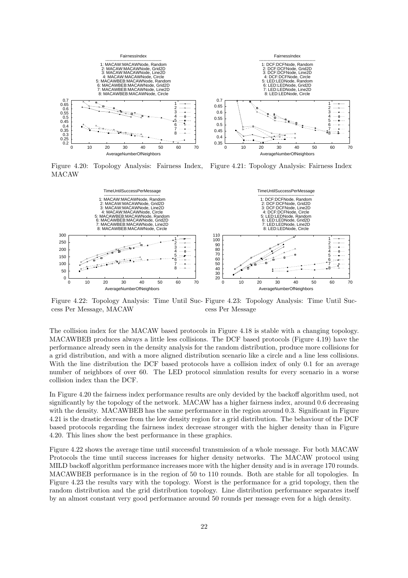

Figure 4.20: Topology Analysis: Fairness Index, MACAW Figure 4.21: Topology Analysis: Fairness Index



Figure 4.22: Topology Analysis: Time Until Suc-Figure 4.23: Topology Analysis: Time Until Success Per Message, MACAW cess Per Message

The collision index for the MACAW based protocols in Figure 4.18 is stable with a changing topology. MACAWBEB produces always a little less collisions. The DCF based protocols (Figure 4.19) have the performance already seen in the density analysis for the random distribution, produce more collisions for a grid distribution, and with a more aligned distribution scenario like a circle and a line less collisions. With the line distribution the DCF based protocols have a collision index of only 0.1 for an average number of neighbors of over 60. The LED protocol simulation results for every scenario in a worse collision index than the DCF.

In Figure 4.20 the fairness index performance results are only devided by the backoff algorithm used, not significantly by the topology of the network. MACAW has a higher fairness index, around 0.6 decreasing with the density. MACAWBEB has the same performance in the region around 0.3. Significant in Figure 4.21 is the drastic decrease from the low density region for a grid distribution. The behaviour of the DCF based protocols regarding the fairness index decrease stronger with the higher density than in Figure 4.20. This lines show the best performance in these graphics.

Figure 4.22 shows the average time until successful transmission of a whole message. For both MACAW Protocols the time until success increases for higher density networks. The MACAW protocol using MILD backoff algorithm performance increases more with the higher density and is in average 170 rounds. MACAWBEB performance is in the region of 50 to 110 rounds. Both are stable for all topologies. In Figure 4.23 the results vary with the topology. Worst is the performance for a grid topology, then the random distribution and the grid distribution topology. Line distribution performance separates itself by an almost constant very good performance around 50 rounds per message even for a high density.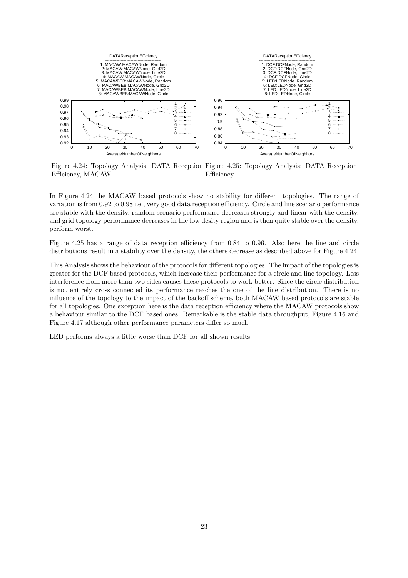

Figure 4.24: Topology Analysis: DATA Reception Figure 4.25: Topology Analysis: DATA Reception Efficiency, MACAW Efficiency

In Figure 4.24 the MACAW based protocols show no stability for different topologies. The range of variation is from 0.92 to 0.98 i.e., very good data reception efficiency. Circle and line scenario performance are stable with the density, random scenario performance decreases strongly and linear with the density, and grid topology performance decreases in the low desity region and is then quite stable over the density, perform worst.

Figure 4.25 has a range of data reception efficiency from 0.84 to 0.96. Also here the line and circle distributions result in a stability over the density, the others decrease as described above for Figure 4.24.

This Analysis shows the behaviour of the protocols for different topologies. The impact of the topologies is greater for the DCF based protocols, which increase their performance for a circle and line topology. Less interference from more than two sides causes these protocols to work better. Since the circle distribution is not entirely cross connected its performance reaches the one of the line distribution. There is no influence of the topology to the impact of the backoff scheme, both MACAW based protocols are stable for all topologies. One exception here is the data reception efficiency where the MACAW protocols show a behaviour similar to the DCF based ones. Remarkable is the stable data throughput, Figure 4.16 and Figure 4.17 although other performance parameters differ so much.

LED performs always a little worse than DCF for all shown results.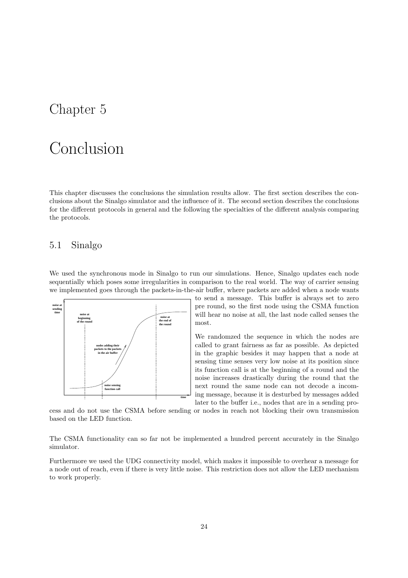## Chapter 5

# Conclusion

This chapter discusses the conclusions the simulation results allow. The first section describes the conclusions about the Sinalgo simulator and the influence of it. The second section describes the conclusions for the different protocols in general and the following the specialties of the different analysis comparing the protocols.

## 5.1 Sinalgo

We used the synchronous mode in Sinalgo to run our simulations. Hence, Sinalgo updates each node sequentially which poses some irregularities in comparison to the real world. The way of carrier sensing we implemented goes through the packets-in-the-air buffer, where packets are added when a node wants



to send a message. This buffer is always set to zero pre round, so the first node using the CSMA function will hear no noise at all, the last node called senses the most.

We randomzed the sequence in which the nodes are called to grant fairness as far as possible. As depicted in the graphic besides it may happen that a node at sensing time senses very low noise at its position since its function call is at the beginning of a round and the noise increases drastically during the round that the next round the same node can not decode a incoming message, because it is desturbed by messages added later to the buffer i.e., nodes that are in a sending pro-

cess and do not use the CSMA before sending or nodes in reach not blocking their own transmission based on the LED function.

The CSMA functionality can so far not be implemented a hundred percent accurately in the Sinalgo simulator.

Furthermore we used the UDG connectivity model, which makes it impossible to overhear a message for a node out of reach, even if there is very little noise. This restriction does not allow the LED mechanism to work properly.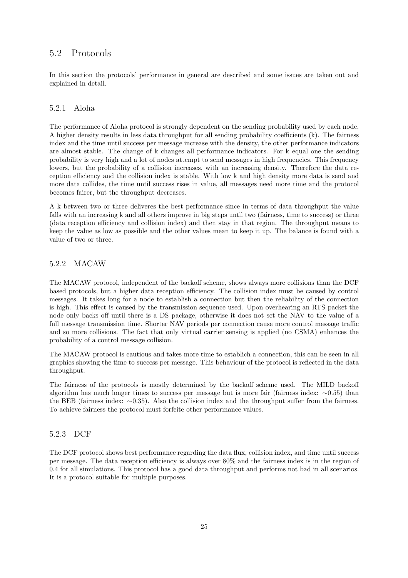## 5.2 Protocols

In this section the protocols' performance in general are described and some issues are taken out and explained in detail.

### 5.2.1 Aloha

The performance of Aloha protocol is strongly dependent on the sending probability used by each node. A higher density results in less data throughput for all sending probability coefficients (k). The fairness index and the time until success per message increase with the density, the other performance indicators are almost stable. The change of k changes all performance indicators. For k equal one the sending probability is very high and a lot of nodes attempt to send messages in high frequencies. This frequency lowers, but the probability of a collision increases, with an increasing density. Therefore the data reception efficiency and the collision index is stable. With low k and high density more data is send and more data collides, the time until success rises in value, all messages need more time and the protocol becomes fairer, but the throughput decreases.

A k between two or three deliveres the best performance since in terms of data throughput the value falls with an increasing k and all others improve in big steps until two (fairness, time to success) or three (data reception efficiency and collision index) and then stay in that region. The throughput means to keep the value as low as possible and the other values mean to keep it up. The balance is found with a value of two or three.

### 5.2.2 MACAW

The MACAW protocol, independent of the backoff scheme, shows always more collisions than the DCF based protocols, but a higher data reception efficiency. The collision index must be caused by control messages. It takes long for a node to establish a connection but then the reliability of the connection is high. This effect is caused by the transmission sequence used. Upon overhearing an RTS packet the node only backs off until there is a DS package, otherwise it does not set the NAV to the value of a full message transmission time. Shorter NAV periods per connection cause more control message traffic and so more collisions. The fact that only virtual carrier sensing is applied (no CSMA) enhances the probability of a control message collision.

The MACAW protocol is cautious and takes more time to establich a connection, this can be seen in all graphics showing the time to success per message. This behaviour of the protocol is reflected in the data throughput.

The fairness of the protocols is mostly determined by the backoff scheme used. The MILD backoff algorithm has much longer times to success per message but is more fair (fairness index: ∼0.55) than the BEB (fairness index: ∼0.35). Also the collision index and the throughput suffer from the fairness. To achieve fairness the protocol must forfeite other performance values.

### 5.2.3 DCF

The DCF protocol shows best performance regarding the data flux, collision index, and time until success per message. The data reception efficiency is always over 80% and the fairness index is in the region of 0.4 for all simulations. This protocol has a good data throughput and performs not bad in all scenarios. It is a protocol suitable for multiple purposes.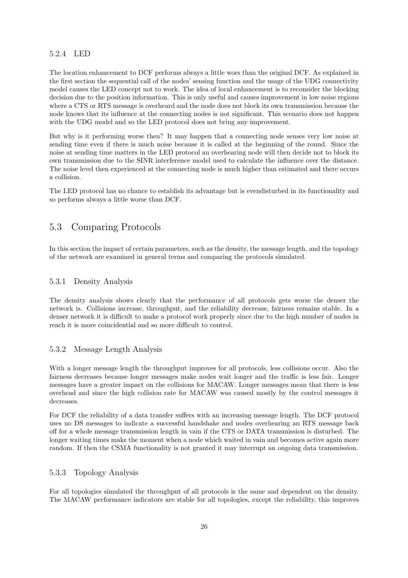### 5.2.4 LED

The location enhancement to DCF performs always a little wors than the original DCF. As explained in the first section the sequential call of the nodes' sensing function and the usage of the UDG connectivity model causes the LED concept not to work. The idea of local enhancement is to reconsider the blocking decision due to the position information. This is only useful and causes improvement in low noise regions where a CTS or RTS message is overheard and the node does not block its own transmission because the node knows that its influence at the connecting nodes is not significant. This scenario does not happen with the UDG model and so the LED protocol does not bring any improvement.

But why is it performing worse then? It may happen that a connecting node senses very low noise at sending time even if there is much noise because it is called at the beginning of the round. Since the noise at sending time matters in the LED protocol an overhearing node will then decide not to block its own transmission due to the SINR interference model used to calculate the influence over the distance. The noise level then experienced at the connecting node is much higher than estimated and there occurs a collision.

The LED protocol has no chance to establish its advantage but is evendisturbed in its functionality and so performs always a little worse than DCF.

## 5.3 Comparing Protocols

In this section the impact of certain parameters, such as the density, the message length, and the topology of the network are examined in general terms and comparing the protocols simulated.

### 5.3.1 Density Analysis

The density analysis shows clearly that the performance of all protocols gets worse the denser the network is. Collisions increase, throughput, and the reliability decrease, fairness remains stable. In a denser network it is difficult to make a protocol work properly since due to the high number of nodes in reach it is more coincidential and so more difficult to control.

### 5.3.2 Message Length Analysis

With a longer message length the throughput improves for all protocols, less collisions occur. Also the fairness decreases because longer messages make nodes wait longer and the traffic is less fair. Longer messages have a greater impact on the collisions for MACAW. Longer messages mean that there is less overhead and since the high collision rate for MACAW was caused mostly by the control messages it decreases.

For DCF the reliability of a data transfer suffers with an increasing message length. The DCF protocol uses no DS messages to indicate a successful handshake and nodes overhearing an RTS message back off for a whole message transmission length in vain if the CTS or DATA transmission is disturbed. The longer waiting times make the moment when a node which waited in vain and becomes active again more random. If then the CSMA functionality is not granted it may interrupt an ongoing data transmission.

### 5.3.3 Topology Analysis

For all topologies simulated the throughput of all protocols is the same and dependent on the density. The MACAW performance indicators are stable for all topologies, except the reliability, this improves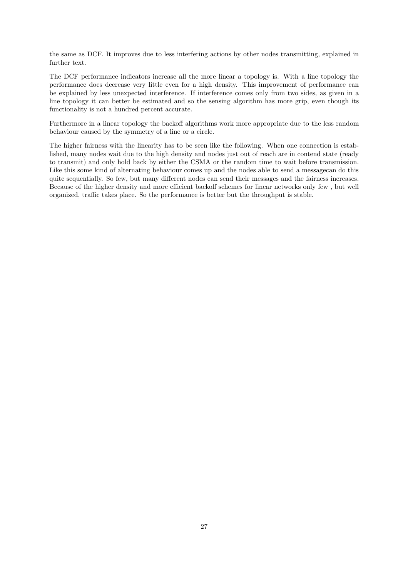the same as DCF. It improves due to less interfering actions by other nodes transmitting, explained in further text.

The DCF performance indicators increase all the more linear a topology is. With a line topology the performance does decrease very little even for a high density. This improvement of performance can be explained by less unexpected interference. If interference comes only from two sides, as given in a line topology it can better be estimated and so the sensing algorithm has more grip, even though its functionality is not a hundred percent accurate.

Furthermore in a linear topology the backoff algorithms work more appropriate due to the less random behaviour caused by the symmetry of a line or a circle.

The higher fairness with the linearity has to be seen like the following. When one connection is established, many nodes wait due to the high density and nodes just out of reach are in contend state (ready to transmit) and only hold back by either the CSMA or the random time to wait before transmission. Like this some kind of alternating behaviour comes up and the nodes able to send a messagecan do this quite sequentially. So few, but many different nodes can send their messages and the fairness increases. Because of the higher density and more efficient backoff schemes for linear networks only few , but well organized, traffic takes place. So the performance is better but the throughput is stable.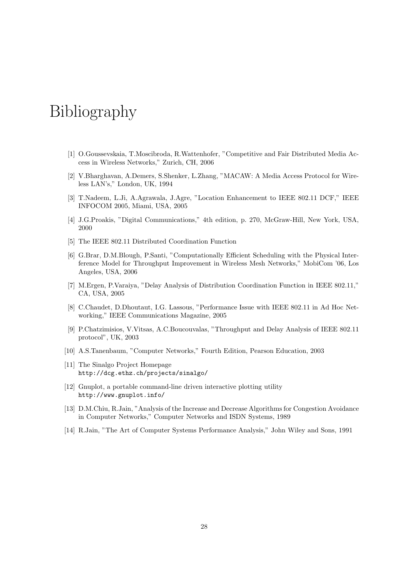# Bibliography

- [1] O.Goussevskaia, T.Moscibroda, R.Wattenhofer, "Competitive and Fair Distributed Media Access in Wireless Networks," Zurich, CH, 2006
- [2] V.Bharghavan, A.Demers, S.Shenker, L.Zhang, "MACAW: A Media Access Protocol for Wireless LAN's," London, UK, 1994
- [3] T.Nadeem, L.Ji, A.Agrawala, J.Agre, "Location Enhancement to IEEE 802.11 DCF," IEEE INFOCOM 2005, Miami, USA, 2005
- [4] J.G.Proakis, "Digital Communications," 4th edition, p. 270, McGraw-Hill, New York, USA, 2000
- [5] The IEEE 802.11 Distributed Coordination Function
- [6] G.Brar, D.M.Blough, P.Santi, "Computationally Efficient Scheduling with the Physical Interference Model for Throughput Improvement in Wireless Mesh Networks," MobiCom '06, Los Angeles, USA, 2006
- [7] M.Ergen, P.Varaiya, "Delay Analysis of Distribution Coordination Function in IEEE 802.11," CA, USA, 2005
- [8] C.Chaudet, D.Dhoutaut, I.G. Lassous, "Performance Issue with IEEE 802.11 in Ad Hoc Networking," IEEE Communications Magazine, 2005
- [9] P.Chatzimisios, V.Vitsas, A.C.Boucouvalas, "Throughput and Delay Analysis of IEEE 802.11 protocol", UK, 2003
- [10] A.S.Tanenbaum, "Computer Networks," Fourth Edition, Pearson Education, 2003
- [11] The Sinalgo Project Homepage http://dcg.ethz.ch/projects/sinalgo/
- [12] Gnuplot, a portable command-line driven interactive plotting utility http://www.gnuplot.info/
- [13] D.M.Chiu, R.Jain, "Analysis of the Increase and Decrease Algorithms for Congestion Avoidance in Computer Networks," Computer Networks and ISDN Systems, 1989
- [14] R.Jain, "The Art of Computer Systems Performance Analysis," John Wiley and Sons, 1991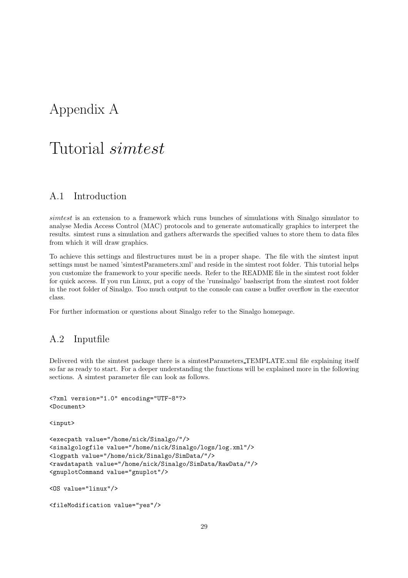## Appendix A

## Tutorial simtest

## A.1 Introduction

simtest is an extension to a framework which runs bunches of simulations with Sinalgo simulator to analyse Media Access Control (MAC) protocols and to generate automatically graphics to interpret the results. simtest runs a simulation and gathers afterwards the specified values to store them to data files from which it will draw graphics.

To achieve this settings and filestructures must be in a proper shape. The file with the simtest input settings must be named 'simtestParameters.xml' and reside in the simtest root folder. This tutorial helps you customize the framework to your specific needs. Refer to the README file in the simtest root folder for quick access. If you run Linux, put a copy of the 'runsinalgo' bashscript from the simtest root folder in the root folder of Sinalgo. Too much output to the console can cause a buffer overflow in the executor class.

For further information or questions about Sinalgo refer to the Sinalgo homepage.

## A.2 Inputfile

Delivered with the simtest package there is a simtestParameters TEMPLATE.xml file explaining itself so far as ready to start. For a deeper understanding the functions will be explained more in the following sections. A simtest parameter file can look as follows.

```
<?xml version="1.0" encoding="UTF-8"?>
<Document>
```
<input>

```
<execpath value="/home/nick/Sinalgo/"/>
<sinalgologfile value="/home/nick/Sinalgo/logs/log.xml"/>
<logpath value="/home/nick/Sinalgo/SimData/"/>
<rawdatapath value="/home/nick/Sinalgo/SimData/RawData/"/>
<gnuplotCommand value="gnuplot"/>
<OS value="linux"/>
```

```
<fileModification value="yes"/>
```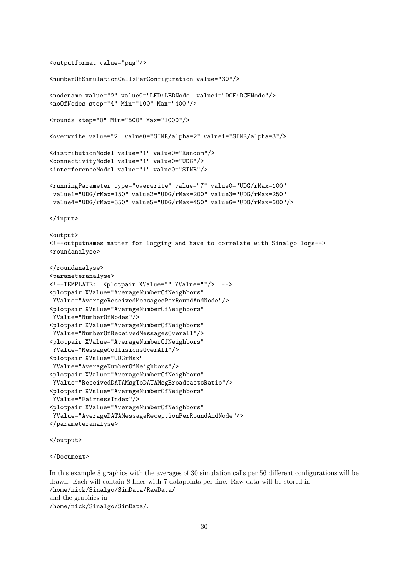```
<outputformat value="png"/>
<numberOfSimulationCallsPerConfiguration value="30"/>
<nodename value="2" value0="LED:LEDNode" value1="DCF:DCFNode"/>
<noOfNodes step="4" Min="100" Max="400"/>
<rounds step="0" Min="500" Max="1000"/>
<overwrite value="2" value0="SINR/alpha=2" value1="SINR/alpha=3"/>
<distributionModel value="1" value0="Random"/>
<connectivityModel value="1" value0="UDG"/>
<interferenceModel value="1" value0="SINR"/>
<runningParameter type="overwrite" value="7" value0="UDG/rMax=100"
value1="UDG/rMax=150" value2="UDG/rMax=200" value3="UDG/rMax=250"
value4="UDG/rMax=350" value5="UDG/rMax=450" value6="UDG/rMax=600"/>
</input>
<output>
<!--outputnames matter for logging and have to correlate with Sinalgo logs-->
<roundanalyse>
</roundanalyse>
<parameteranalyse>
<!--TEMPLATE: <plotpair XValue="" YValue=""/> -->
<plotpair XValue="AverageNumberOfNeighbors"
 YValue="AverageReceivedMessagesPerRoundAndNode"/>
<plotpair XValue="AverageNumberOfNeighbors"
 YValue="NumberOfNodes"/>
<plotpair XValue="AverageNumberOfNeighbors"
YValue="NumberOfReceivedMessagesOverall"/>
<plotpair XValue="AverageNumberOfNeighbors"
YValue="MessageCollisionsOverAll"/>
<plotpair XValue="UDGrMax"
YValue="AverageNumberOfNeighbors"/>
<plotpair XValue="AverageNumberOfNeighbors"
YValue="ReceivedDATAMsgToDATAMsgBroadcastsRatio"/>
<plotpair XValue="AverageNumberOfNeighbors"
YValue="FairnessIndex"/>
<plotpair XValue="AverageNumberOfNeighbors"
YValue="AverageDATAMessageReceptionPerRoundAndNode"/>
</parameteranalyse>
</output>
```

```
</Document>
```
In this example 8 graphics with the averages of 30 simulation calls per 56 different configurations will be drawn. Each will contain 8 lines with 7 datapoints per line. Raw data will be stored in /home/nick/Sinalgo/SimData/RawData/ and the graphics in /home/nick/Sinalgo/SimData/.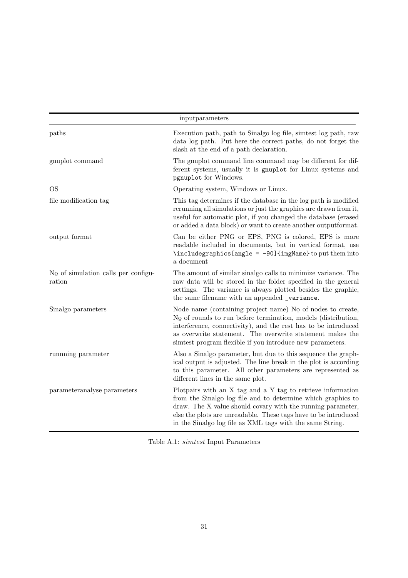|                                                  | inputparameters                                                                                                                                                                                                                                                                                                                           |
|--------------------------------------------------|-------------------------------------------------------------------------------------------------------------------------------------------------------------------------------------------------------------------------------------------------------------------------------------------------------------------------------------------|
| paths                                            | Execution path, path to Sinalgo log file, similest log path, raw<br>data log path. Put here the correct paths, do not forget the<br>slash at the end of a path declaration.                                                                                                                                                               |
| gnuplot command                                  | The gnuplot command line command may be different for dif-<br>ferent systems, usually it is gnuplot for Linux systems and<br>pgnuplot for Windows.                                                                                                                                                                                        |
| <b>OS</b>                                        | Operating system, Windows or Linux.                                                                                                                                                                                                                                                                                                       |
| file modification tag                            | This tag determines if the database in the log path is modified<br>rerunning all simulations or just the graphics are drawn from it,<br>useful for automatic plot, if you changed the database (erased<br>or added a data block) or want to create another outputformat.                                                                  |
| output format                                    | Can be either PNG or EPS, PNG is colored, EPS is more<br>readable included in documents, but in vertical format, use<br>\includegraphics [angle = -90] {imgName} to put them into<br>a document                                                                                                                                           |
| $N_Q$ of simulation calls per configu-<br>ration | The amount of similar sinalgo calls to minimize variance. The<br>raw data will be stored in the folder specified in the general<br>settings. The variance is always plotted besides the graphic,<br>the same filename with an appended _variance.                                                                                         |
| Sinalgo parameters                               | Node name (containing project name) $N_Q$ of nodes to create,<br>$N_{\mathcal{Q}}$ of rounds to run before termination, models (distribution,<br>interference, connectivity), and the rest has to be introduced<br>as overwrite statement. The overwrite statement makes the<br>simtest program flexible if you introduce new parameters. |
| running parameter                                | Also a Sinalgo parameter, but due to this sequence the graph-<br>ical output is adjusted. The line break in the plot is according<br>to this parameter. All other parameters are represented as<br>different lines in the same plot.                                                                                                      |
| parameteranalyse parameters                      | Plotpairs with an X tag and a Y tag to retrieve information<br>from the Sinalgo log file and to determine which graphics to<br>draw. The X value should covary with the running parameter,<br>else the plots are unreadable. These tags have to be introduced<br>in the Sinalgo log file as XML tags with the same String.                |

Table A.1: simtest Input Parameters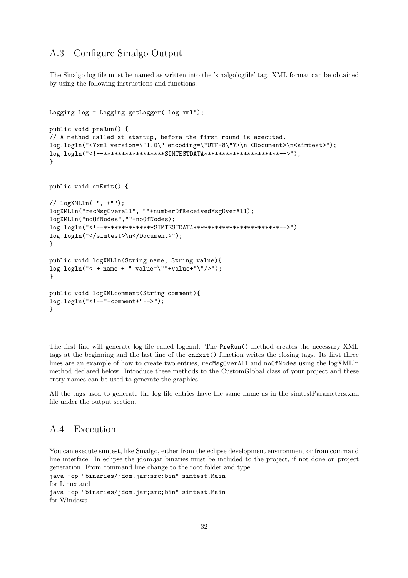## A.3 Configure Sinalgo Output

The Sinalgo log file must be named as written into the 'sinalgologfile' tag. XML format can be obtained by using the following instructions and functions:

```
Logging log = Logging.getLogger("log.xml");
public void preRun() {
// A method called at startup, before the first round is executed.
log.logln("<?xml version=\"1.0\" encoding=\"UTF-8\"?>\n <Document>\n<simtest>");
log.logln("<!--*****************SIMTESTDATA*********************-->");
}
public void onExit() {
// logXMLln("", +"");
logXMLln("recMsgOverall", ""+numberOfReceivedMsgOverAll);
logXMLln("noOfNodes",""+noOfNodes);
log.logln("<!--**************SIMTESTDATA************************-->");
log.logln("</simtest>\n</Document>");
}
public void logXMLln(String name, String value){
log.logln("<"+ name + " value=\""+value+"\"/>");
}
public void logXMLcomment(String comment){
log.logln("<!--"+comment+"-->");
}
```
The first line will generate log file called log.xml. The PreRun() method creates the necessary XML tags at the beginning and the last line of the onExit() function writes the closing tags. Its first three lines are an example of how to create two entries, recMsgOverAll and noOfNodes using the logXMLln method declared below. Introduce these methods to the CustomGlobal class of your project and these entry names can be used to generate the graphics.

All the tags used to generate the log file entries have the same name as in the simtestParameters.xml file under the output section.

## A.4 Execution

You can execute simtest, like Sinalgo, either from the eclipse development environment or from command line interface. In eclipse the jdom.jar binaries must be included to the project, if not done on project generation. From command line change to the root folder and type java -cp "binaries/jdom.jar:src:bin" simtest.Main for Linux and java -cp "binaries/jdom.jar;src;bin" simtest.Main for Windows.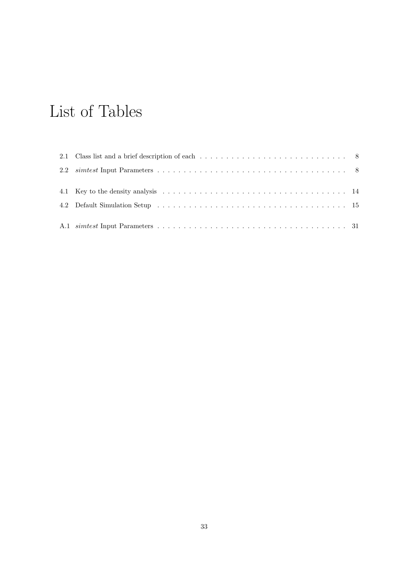# List of Tables